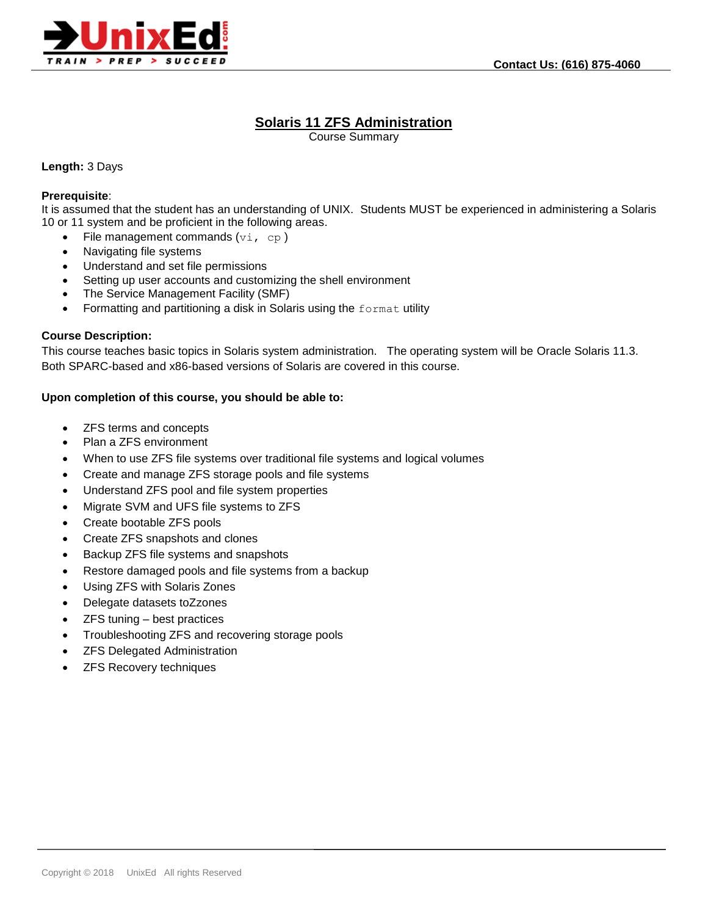

# **Solaris 11 ZFS Administration**

Course Summary

## **Length:** 3 Days

#### **Prerequisite**:

It is assumed that the student has an understanding of UNIX. Students MUST be experienced in administering a Solaris 10 or 11 system and be proficient in the following areas.

- File management commands  $(v_i, cp)$
- Navigating file systems
- Understand and set file permissions
- Setting up user accounts and customizing the shell environment
- The Service Management Facility (SMF)
- Formatting and partitioning a disk in Solaris using the format utility

## **Course Description:**

This course teaches basic topics in Solaris system administration. The operating system will be Oracle Solaris 11.3. Both SPARC-based and x86-based versions of Solaris are covered in this course.

## **Upon completion of this course, you should be able to:**

- ZFS terms and concepts
- Plan a ZFS environment
- When to use ZFS file systems over traditional file systems and logical volumes
- Create and manage ZFS storage pools and file systems
- Understand ZFS pool and file system properties
- Migrate SVM and UFS file systems to ZFS
- Create bootable ZFS pools
- Create ZFS snapshots and clones
- Backup ZFS file systems and snapshots
- Restore damaged pools and file systems from a backup
- Using ZFS with Solaris Zones
- Delegate datasets toZzones
- ZFS tuning best practices
- Troubleshooting ZFS and recovering storage pools
- ZFS Delegated Administration
- ZFS Recovery techniques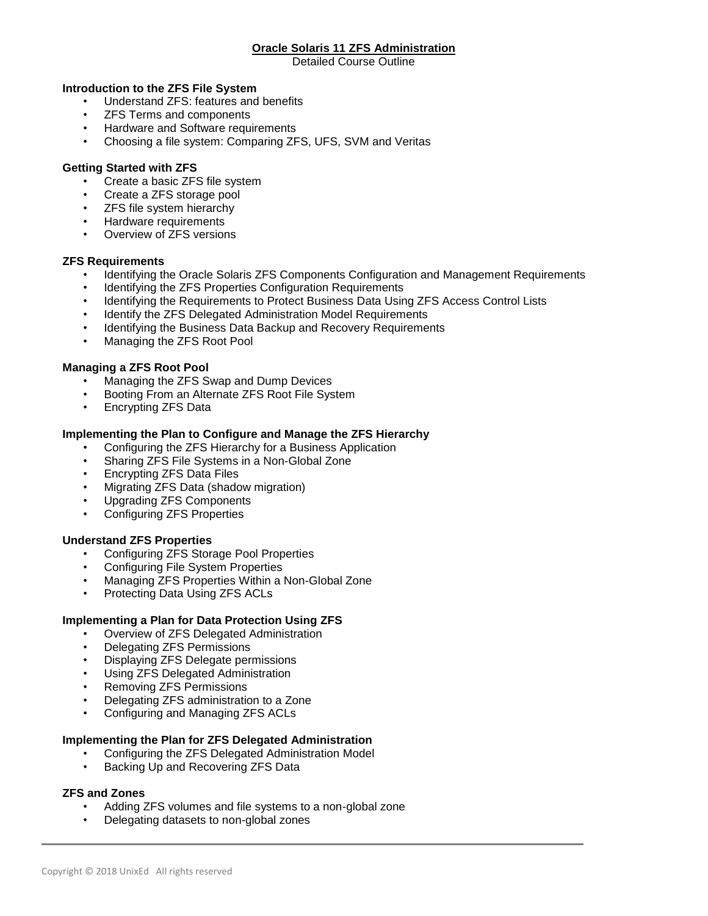## **Oracle Solaris 11 ZFS Administration**

Detailed Course Outline

## **Introduction to the ZFS File System**

- Understand ZFS: features and benefits
- ZFS Terms and components
- Hardware and Software requirements
- Choosing a file system: Comparing ZFS, UFS, SVM and Veritas

## **Getting Started with ZFS**

- Create a basic ZFS file system
- Create a ZFS storage pool
- ZFS file system hierarchy
- Hardware requirements
- Overview of ZFS versions

## **ZFS Requirements**

- Identifying the Oracle Solaris ZFS Components Configuration and Management Requirements
- Identifying the ZFS Properties Configuration Requirements
- Identifying the Requirements to Protect Business Data Using ZFS Access Control Lists
- Identify the ZFS Delegated Administration Model Requirements
- Identifying the Business Data Backup and Recovery Requirements
- Managing the ZFS Root Pool

## **Managing a ZFS Root Pool**

- Managing the ZFS Swap and Dump Devices
- Booting From an Alternate ZFS Root File System
- Encrypting ZFS Data

## **Implementing the Plan to Configure and Manage the ZFS Hierarchy**

- Configuring the ZFS Hierarchy for a Business Application
- Sharing ZFS File Systems in a Non-Global Zone
- Encrypting ZFS Data Files
- Migrating ZFS Data (shadow migration)
- Upgrading ZFS Components
- Configuring ZFS Properties

# **Understand ZFS Properties**

- Configuring ZFS Storage Pool Properties
- Configuring File System Properties
- Managing ZFS Properties Within a Non-Global Zone
- Protecting Data Using ZFS ACLs

## **Implementing a Plan for Data Protection Using ZFS**

- Overview of ZFS Delegated Administration
- Delegating ZFS Permissions
- Displaying ZFS Delegate permissions
- Using ZFS Delegated Administration
- Removing ZFS Permissions
- Delegating ZFS administration to a Zone
- Configuring and Managing ZFS ACLs

## **Implementing the Plan for ZFS Delegated Administration**

- Configuring the ZFS Delegated Administration Model
- Backing Up and Recovering ZFS Data

## **ZFS and Zones**

- Adding ZFS volumes and file systems to a non-global zone
- Delegating datasets to non-global zones